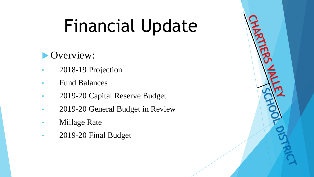# Financial Update

#### Overview:

- 2018-19 Projection
- Fund Balances
- 2019-20 Capital Reserve Budget
- 2019-20 General Budget in Review
- **Millage Rate**
- 2019-20 Final Budget

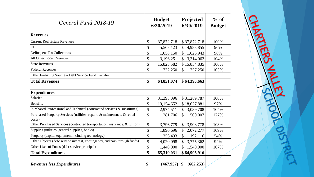| General Fund 2018-19                                                       |                    | <b>Budget</b><br>6/30/2019 |               | Projected<br>6/30/2019 | $%$ of<br><b>Budget</b> |
|----------------------------------------------------------------------------|--------------------|----------------------------|---------------|------------------------|-------------------------|
| <b>Revenues</b>                                                            |                    |                            |               |                        |                         |
| <b>Current Real Estate Revenues</b>                                        | \$                 | 37,872,718                 |               | \$37,872,718           | 100%                    |
| <b>EIT</b>                                                                 | \$                 | 5,568,123                  | \$            | 4,988,855              | 90%                     |
| <b>Delinquent Tax Collections</b>                                          | \$                 | 1,658,150                  | $\mathbb{S}$  | 1,625,943              | 98%                     |
| All Other Local Revenues                                                   | \$                 | 3,196,251                  | $\mathbb{S}$  | 3,314,062              | 104%                    |
| <b>State Revenues</b>                                                      | \$                 | 15,823,582                 |               | \$15,834,835           | 100%                    |
| <b>Federal Revenues</b>                                                    | \$                 | 732,250                    | \$            | 757,250                | 103%                    |
| Other Financing Sources- Debt Service Fund Transfer                        |                    |                            |               |                        |                         |
| <b>Total Revenues</b>                                                      | \$                 | 64,851,074                 |               | \$64,393,663           |                         |
|                                                                            |                    |                            |               |                        |                         |
| <b>Expenditures</b>                                                        |                    |                            |               |                        |                         |
| <b>Salaries</b>                                                            | \$                 | 31,398,096                 |               | \$31,289,787           | 100%                    |
| <b>Benefits</b>                                                            | \$                 | 19,154,652                 |               | \$18,627,881           | 97%                     |
| Purchased Professional and Technical (contracted services & substitutes)   | \$                 | 2,974,511                  | $\mathcal{S}$ | 3,089,708              | 104%                    |
| Purchased Property Services (utilities, repairs & maintenance, & rental    | $\mathbf{\hat{S}}$ | 281,706                    | $\mathcal{S}$ | 500,007                | 177%                    |
| costs)                                                                     |                    |                            |               |                        |                         |
| Other Purchased Services (contracted transportation, insurance, & tuition) | \$                 | 3,796,779                  | \$            | 3,908,778              | 103%                    |
| Supplies (utilities, general supplies, books)                              | \$                 | 1,896,696                  | \$            | 2,072,277              | 109%                    |
| Property (capital equipment including technology)                          | \$                 | 356,493                    | $\mathbb{S}$  | 192,116                | 54%                     |
| Other Objects (debt service interest, contingency, and pass through funds) | \$                 | 4,020,098                  | \$            | 3,775,362              | 94%                     |
| Other Uses of Funds (debt service principal)                               | \$                 | 1,440,000                  | $\mathbb{S}$  | 1,540,000              | 107%                    |
| <b>Total Expenditures</b>                                                  | \$                 | 65,319,031                 |               | \$64,995,916           |                         |
|                                                                            |                    |                            |               |                        |                         |
| <b>Revenues less Expenditures</b>                                          | \$                 | (467, 957)                 | \$            | (602, 253)             |                         |

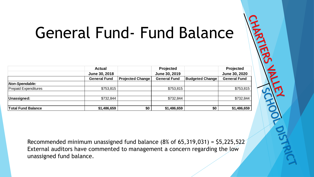### General Fund- Fund Balance

|                             | <b>Actual</b>                                                                   |                         | Projected           |                        | <b>Projected</b>    |
|-----------------------------|---------------------------------------------------------------------------------|-------------------------|---------------------|------------------------|---------------------|
|                             | June 30, 2018                                                                   |                         | June 30, 2019       |                        | June 30, 2020       |
|                             | <b>General Fund</b>                                                             | <b>Projected Change</b> | <b>General Fund</b> | <b>Budgeted Change</b> | <b>General Fund</b> |
| Non-Spendable:              |                                                                                 |                         |                     |                        |                     |
| <b>Prepaid Expenditures</b> | \$753,815                                                                       |                         | \$753,815           |                        | \$753,815           |
| Unassigned:                 | \$732,844                                                                       |                         | \$732,844           |                        | \$732,844           |
| <b>Total Fund Balance</b>   | \$1,486,659                                                                     | \$0                     | \$1,486,659         | \$0                    | \$1,486,659         |
|                             |                                                                                 |                         |                     |                        |                     |
|                             |                                                                                 |                         |                     |                        |                     |
|                             |                                                                                 |                         |                     |                        |                     |
|                             | Recommended minimum unassigned fund balance $(8%$ of $65,319,031) = $5,225,522$ |                         |                     |                        |                     |
| unassigned fund balance.    | External auditors have commented to management a concern regarding the low      |                         |                     |                        |                     |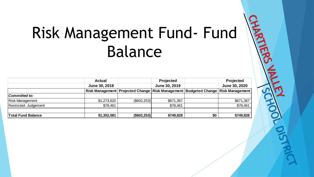#### Risk Management Fund- Fund Balance

|                           | <b>Actual</b> |                                                                                          | <b>Projected</b> |     | <b>Projected</b> |
|---------------------------|---------------|------------------------------------------------------------------------------------------|------------------|-----|------------------|
|                           | June 30, 2018 |                                                                                          | June 30, 2019    |     | June 30, 2020    |
|                           |               | Risk Management   Projected Change   Risk Management   Budgeted Change   Risk Management |                  |     |                  |
| Committed to:             |               |                                                                                          |                  |     |                  |
| <b>Risk Management</b>    | \$1,273,620   | (\$602,253)                                                                              | \$671,367        |     | \$671,367        |
| Restricted- Judgement     | \$78,461      |                                                                                          | \$78,461         |     | \$78,461         |
| <b>Total Fund Balance</b> | \$1,352,081   | $($ \$602,253) $ $                                                                       | \$749,828        | \$0 | \$749,828        |

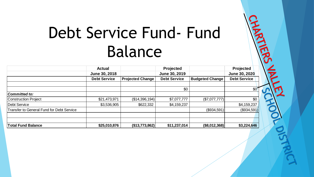#### Debt Service Fund- Fund Balance

习

|                                           | <b>Actual</b>       |                         | <b>Projected</b>    |                        | <b>Projected</b>     |
|-------------------------------------------|---------------------|-------------------------|---------------------|------------------------|----------------------|
|                                           | June 30, 2018       |                         | June 30, 2019       |                        | <b>June 30, 2020</b> |
|                                           | <b>Debt Service</b> | <b>Projected Change</b> | <b>Debt Service</b> | <b>Budgeted Change</b> | <b>Debt Service</b>  |
|                                           |                     |                         |                     |                        |                      |
|                                           |                     |                         | \$0                 |                        | $$0^{\circ}$         |
| Committed to:                             |                     |                         |                     |                        |                      |
| Construction Project                      | \$21,473,971        | (\$14,396,194)          | \$7,077,777         | (\$7,077,777)          | \$0                  |
| Debt Service                              | \$3,536,905         | \$622,332               | \$4,159,237         |                        | \$4,159,237          |
| Transfer to General Fund for Debt Service |                     |                         |                     | (\$934,591)            | (\$934,591)          |
|                                           |                     |                         |                     |                        |                      |
| <b>Total Fund Balance</b>                 | \$25,010,876        | (\$13,773,862)          | \$11,237,014        | (\$8,012,368)          | \$3,224,646          |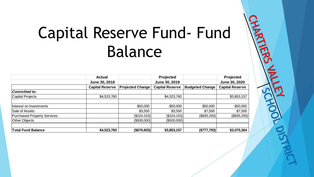#### Capital Reserve Fund- Fund Balance

习

|                                    | <b>Actual</b>          |                         | Projected              |                        | Projected              |
|------------------------------------|------------------------|-------------------------|------------------------|------------------------|------------------------|
|                                    | June 30, 2018          |                         | June 30, 2019          |                        | June 30, 2020          |
|                                    | <b>Capital Reserve</b> | <b>Projected Change</b> | <b>Capital Reserve</b> | <b>Budgeted Change</b> | <b>Capital Reserve</b> |
| Committed to:                      |                        |                         |                        |                        |                        |
| Capital Projects                   | \$4,523,760            |                         | \$4,523,760            |                        | \$3,853,157            |
|                                    |                        |                         |                        |                        |                        |
| Interest on Investments            |                        | \$50,000                | \$50,000               | \$50,000               | \$50,000               |
| Sale of Assets                     |                        | \$3,550                 | \$3,550                | \$7,500                | \$7,500                |
| <b>Purchased Property Services</b> |                        | (\$224, 153)            | (\$224, 153)           | (\$835,293)            | (\$835,293)            |
| <b>Other Objects</b>               |                        | (\$500,000)             | (\$500,000)            |                        |                        |
| <b>Total Fund Balance</b>          | \$4,523,760            | (\$670,603)             | \$3,853,157            | (\$777,793)            | \$3,075,364            |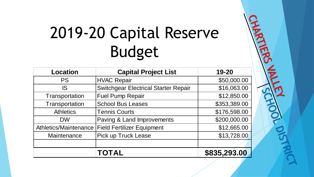# 2019-20 Capital Reserve Budget

| <b>Location</b>       | <b>Capital Project List</b>                 | 19-20        |
|-----------------------|---------------------------------------------|--------------|
| <b>PS</b>             | <b>HVAC Repair</b>                          | \$50,000.00  |
| <b>IS</b>             | <b>Switchgear Electrical Starter Repair</b> | \$16,063.00  |
| Transportation        | <b>Fuel Pump Repair</b>                     | \$12,850.00  |
| Transportation        | <b>School Bus Leases</b>                    | \$353,389.00 |
| <b>Athletics</b>      | <b>Tennis Courts</b>                        | \$176,598.00 |
| <b>DW</b>             | Paving & Land Improvements                  | \$200,000.00 |
| Athletics/Maintenance | <b>Field Fertilizer Equipment</b>           | \$12,665.00  |
| Maintenance           | <b>Pick up Truck Lease</b>                  | \$13,728.00  |
|                       |                                             |              |
|                       | <b>TOTAL</b>                                | \$835,293.00 |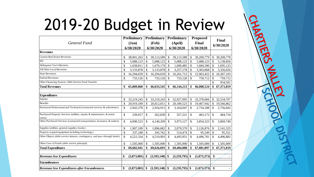# 2019-20 Budget in Review

CHART

| General Fund                                                                      |    | Preliminary |               | <b>Preliminary</b> |                         | <b>Preliminary</b> |               | <b>Proposed</b> |               | Final      |  |
|-----------------------------------------------------------------------------------|----|-------------|---------------|--------------------|-------------------------|--------------------|---------------|-----------------|---------------|------------|--|
|                                                                                   |    | $Jan$       |               | (Feb)              |                         | (April)            |               | Final           |               |            |  |
|                                                                                   |    | 6/30/2020   |               | 6/30/2020          |                         | 6/30/2020          | 6/30/2020     |                 | 6/30/2020     |            |  |
| <b>Revenues</b>                                                                   |    |             |               |                    |                         |                    |               |                 |               |            |  |
| <b>Current Real Estate Revenues</b>                                               | \$ | 38,901,263  | \$            | 39,113,589         | \$                      | 39,113,589         | \$            | 39,209,779      | \$            | 39,209,778 |  |
| EIT                                                                               | \$ | 5,088,123   | \$            | 5,088,123          | \$                      | 5,088,123          | \$            | 5,088,123       | \$            | 5,138,856  |  |
| Delinquent Tax Collections                                                        | \$ | 1,658,811   | \$            | 1,670,170          | \$                      | 1,690,485          | \$            | 1,684,390       | <sup>\$</sup> | 1,695,123  |  |
| All Other Local Revenues                                                          | \$ | 3,133,878   | \$            | 3,133,878          | \$                      | 3,257,178          | \$            | 3,303,068       | <sup>\$</sup> | 3,326,656  |  |
| <b>State Revenues</b>                                                             | \$ | 16,294,659  | \$            | 16,294,659         | \$                      | 16,261,712         |               | 15,963,452      | $\mathcal{S}$ | 16,307,103 |  |
| <b>Federal Revenues</b>                                                           | \$ | 733,126     | \$            | 733,126            | \$                      | 733,126            | $\mathbb{S}$  | 759,712         | \$            | 759,712    |  |
| Other Financing Sources- Debt Service Fund Transfer                               |    |             |               |                    |                         |                    |               |                 | \$            | 934,591    |  |
| <b>Total Revenues</b>                                                             | \$ | 65,809,860  | \$            | 66,033,545         | \$                      | 66,144,213         | \$            | 66,008,524      | \$            | 67,371,819 |  |
|                                                                                   |    |             |               |                    |                         |                    |               |                 |               |            |  |
| <b>Expenditures</b>                                                               |    |             |               |                    |                         |                    |               |                 |               |            |  |
| <b>Salaries</b>                                                                   | \$ | 33,219,243  | \$            | 33,219,243         | \$                      | 32,927,095         |               | 32,378,066      | <sup>\$</sup> | 32,534,707 |  |
| <b>Benefits</b>                                                                   | \$ | 20,919,189  | \$            | 20,812,051         | \$                      | 20,189,523         | \$            | 19,467,942      | $\mathcal{S}$ | 19,566,862 |  |
| Purchased Professional and Technical (contracted services & substitutes)          | \$ | 2,943,378   | \$            | 2,924,915          | \$                      | 3,164,047          | \$            | 2,754,188       | \$            | 2,756,842  |  |
| Purchased Property Services (utilities, repairs & maintenance, & rental<br>costs) | \$ | 239,917     | \$            | 262,838            | \$                      | 557,221            | $\mathbb{S}$  | 403,172         | $\mathcal{S}$ | 404,710    |  |
| Other Purchased Services (contracted transportation, insurance, & tuition)        | \$ | 4,090,523   | \$            | 4,140,209          | \$                      | 3,973,127          | \$            | 3,854,323       | <sup>\$</sup> | 3,869,740  |  |
| Supplies (utilities, general supplies, books)                                     | \$ | 1,907,109   | \$            | 1,896,682          | \$                      | 2,079,570          | \$            | 2,126,876       | <sup>\$</sup> | 2,141,525  |  |
| Property (capital equipment including technology)                                 | \$ | 337,248     | $\mathcal{S}$ | 345,762            | $\mathbb{S}$            | 514,474            | $\mathsf{\$}$ | 95,549          | $\mathcal{S}$ | 95,551     |  |
| Other Objects (debt service interest, contingency, and pass through funds)        | \$ | 4,521,334   | \$            | 4,519,993          | \$                      | 4,493,951          | \$            | 4,496,781       | <sup>\$</sup> | 4,496,882  |  |
| Other Uses of Funds (debt service principal)                                      | \$ | 1,505,000   | \$            | 1,505,000          | \$                      | 1,505,000          | \$            | 1,505,000       | <sup>\$</sup> | 1,505,000  |  |
| <b>Total Expenditures</b>                                                         | \$ | 69,682,941  | \$            | 69,626,693         | \$                      | 69,404,008         |               | 67,081,897      | \$            | 67,371,819 |  |
|                                                                                   |    |             |               |                    |                         |                    |               |                 |               |            |  |
| <b>Revenues less Expenditures</b>                                                 | \$ | (3,873,081) | \$            | (3,593,148)        | \$                      | $(3,259,795)$ \$   |               | (1,073,373)     | \$            |            |  |
| <b>Encumbrances</b>                                                               |    |             |               |                    |                         |                    |               |                 |               |            |  |
| Revenues less Expenditures after Encumbrances                                     | \$ | (3,873,081) | \$            | (3,593,148)        | $\sqrt[6]{\frac{1}{2}}$ | $(3,259,795)$ \$   |               | (1,073,373)     | \$            |            |  |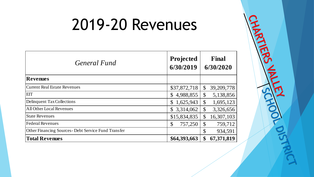#### 2019-20 Revenues

| General Fund                                         | Projected<br>6/30/2019    | Final<br>6/30/2020           |
|------------------------------------------------------|---------------------------|------------------------------|
| <b>Revenues</b>                                      |                           |                              |
| Current Real Estate Revenues                         | \$37,872,718              | 39, 209, 778<br>$\mathbb{S}$ |
| <b>EIT</b>                                           | \$4,988,855               | 5,138,856<br>$\mathbb{S}$    |
| Delinquent Tax Collections                           | 1,625,943<br>$\mathbb{S}$ | 1,695,123<br>$\mathbb{S}$    |
| All Other Local Revenues                             | \$3,314,062               | 3,326,656<br>$\mathcal{S}$   |
| <b>State Revenues</b>                                | \$15,834,835              | 16,307,103<br>$\mathbb{S}$   |
| <b>Federal Revenues</b>                              | \$<br>757,250             | 759,712<br>$\mathbb{S}$      |
| Other Financing Sources - Debt Service Fund Transfer |                           | \$<br>934,591                |
| <b>Total Revenues</b>                                | \$64,393,663              | 67,371,819<br>\$             |

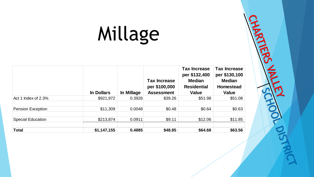# Millage

|                          | In Dollars  | In Millage | <b>Tax Increase</b><br>per \$100,000<br><b>Assessment</b> | <b>Tax Increase</b><br>per \$132,400<br><b>Median</b><br><b>Residential</b><br><b>Value</b> | <b>Tax Increase</b><br>per \$130,100<br><b>Median</b><br><b>Homestead</b><br><b>Value</b> |
|--------------------------|-------------|------------|-----------------------------------------------------------|---------------------------------------------------------------------------------------------|-------------------------------------------------------------------------------------------|
| Act 1 Index of 2.3%      | \$921,972   | 0.3926     | \$39.26                                                   | \$51.98                                                                                     | \$51.08                                                                                   |
| <b>Pension Exception</b> | \$11,309    | 0.0048     | \$0.48                                                    | \$0.64                                                                                      | \$0.63                                                                                    |
| <b>Special Education</b> | \$213,874   | 0.0911     | \$9.11                                                    | \$12.06                                                                                     | \$11.85                                                                                   |
| <b>Total</b>             | \$1,147,155 | 0.4885     | \$48.85                                                   | \$64.68                                                                                     | \$63.56                                                                                   |

ň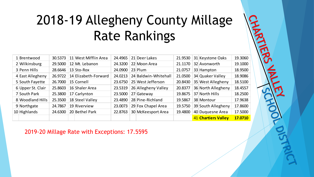#### 2018-19 Allegheny County Millage Rate Rankings

| 1 Brentwood       | 30.5373 | 11 West Mifflin Area | 24.4965 | 21 Deer Lakes        | 21.9530 | 31 Keystone Oaks           | 19.3060 |
|-------------------|---------|----------------------|---------|----------------------|---------|----------------------------|---------|
| 2 Wilkinsburg     | 29.5000 | 12 Mt. Lebanon       | 24.3200 | 22 Moon Area         | 21.1170 | 32 Avonworth               | 19.1000 |
| 3 Penn Hills      | 28.6646 | 13 Sto-Rox           | 24.0900 | $23$ Plum            | 21.0757 | 33 Hampton                 | 18.9500 |
| 4 East Allegheny  | 26.9722 | 14 Elizabeth-Forward | 24.0213 | 24 Baldwin-Whitehall | 21.0500 | 34 Quaker Valley           | 18.9086 |
| 5 South Fayette   | 26.7000 | 15 Cornell           | 23.6750 | 25 West Jefferson    | 20.8430 | 35 West Allegheny          | 18.5100 |
| 6 Upper St. Clair | 25.8603 | 16 Shaler Area       | 23.5319 | 26 Allegheny Valley  | 20.8377 | 36 North Allegheny         | 18.4557 |
| 7 South Park      | 25.3800 | 17 Carlynton         | 23.5000 | 27 Gateway           | 19.8675 | 37 North Hills             | 18.2500 |
| 8 Woodland Hills  | 25.3500 | 18 Steel Valley      | 23.4890 | 28 Pine-Richland     | 19.5867 | 38 Montour                 | 17.9638 |
| 9 Northgate       | 24.7867 | 19 Riverview         | 23.0073 | 29 Fox Chapel Area   | 19.5750 | 39 South Allegheny         | 17.8600 |
| $10$ Highlands    | 24.6300 | 20 Bethel Park       | 22.8763 | 30 McKeesport Area   | 19.4800 | 40 Duquesne Area           | 17.5000 |
|                   |         |                      |         |                      |         | <b>41 Chartiers Valley</b> | 17.0710 |

2019-20 Millage Rate with Exceptions: 17.5595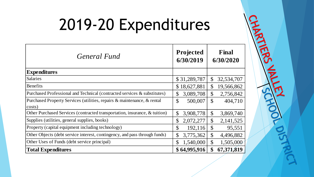# 2019-20 Expenditures

ATT

| General Fund                                                                      | Projected<br>6/30/2019               | Final<br>6/30/2020                  |
|-----------------------------------------------------------------------------------|--------------------------------------|-------------------------------------|
| <b>Expenditures</b>                                                               |                                      |                                     |
| <b>Salaries</b>                                                                   | \$31,289,787                         | $\mathcal{S}$<br>32,534,707         |
| <b>Benefits</b>                                                                   | \$18,627,881                         | $\mathcal{S}$<br>19,566,862         |
| Purchased Professional and Technical (contracted services & substitutes)          | 3,089,708<br>\$                      | \$<br>2,756,842                     |
| Purchased Property Services (utilities, repairs & maintenance, & rental<br>costs) | $\mathcal{S}$<br>500,007             | $\mathcal{S}$<br>404,710            |
| Other Purchased Services (contracted transportation, insurance, & tuition)        | 3,908,778<br>$\mathcal{S}$           | \$<br>3,869,740                     |
| Supplies (utilities, general supplies, books)                                     | 2,072,277<br>\$                      | $\mathcal{S}$<br>2,141,525          |
| Property (capital equipment including technology)                                 | $\boldsymbol{\mathsf{S}}$<br>192,116 | $\boldsymbol{\mathsf{S}}$<br>95,551 |
| Other Objects (debt service interest, contingency, and pass through funds)        | 3,775,362<br>$\mathcal{S}$           | \$<br>4,496,882                     |
| Other Uses of Funds (debt service principal)                                      | 1,540,000<br>\$                      | $\mathcal{S}$<br>1,505,000          |
| <b>Total Expenditures</b>                                                         | \$64,995,916                         | \$<br>67,371,819                    |